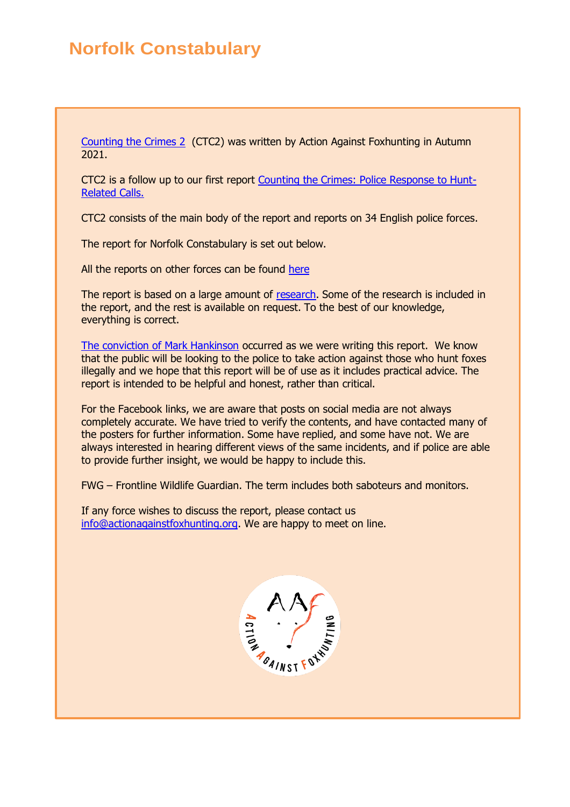# **Norfolk Constabulary**

[Counting the Crimes 2](https://www.actionagainstfoxhunting.org/counting-the-crimes2-the-police-response/) (CTC2) was written by Action Against Foxhunting in Autumn 2021.

CTC2 is a follow up to our first report [Counting the Crimes: Police Response to Hunt-](https://www.actionagainstfoxhunting.org/counting-the-crimes/)[Related Calls.](https://www.actionagainstfoxhunting.org/counting-the-crimes/)

CTC2 consists of the main body of the report and reports on 34 English police forces.

The report for Norfolk Constabulary is set out below.

All the reports on other forces can be found [here](https://www.actionagainstfoxhunting.org/counting-the-crimes2-the-police-response/)

The report is based on a large amount of [research.](https://www.actionagainstfoxhunting.org/wp-content/uploads/2021/11/A-1411-Research-for-CTC2.pdf) Some of the research is included in the report, and the rest is available on request. To the best of our knowledge, everything is correct.

[The conviction of Mark Hankinson](https://www.league.org.uk/news-and-resources/news/hunting-office-webinars-the-road-to-conviction/) occurred as we were writing this report. We know that the public will be looking to the police to take action against those who hunt foxes illegally and we hope that this report will be of use as it includes practical advice. The report is intended to be helpful and honest, rather than critical.

For the Facebook links, we are aware that posts on social media are not always completely accurate. We have tried to verify the contents, and have contacted many of the posters for further information. Some have replied, and some have not. We are always interested in hearing different views of the same incidents, and if police are able to provide further insight, we would be happy to include this.

FWG – Frontline Wildlife Guardian. The term includes both saboteurs and monitors.

If any force wishes to discuss the report, please contact us [info@actionagainstfoxhunting.org.](mailto:info@actionagainstfoxhunting.org) We are happy to meet on line.

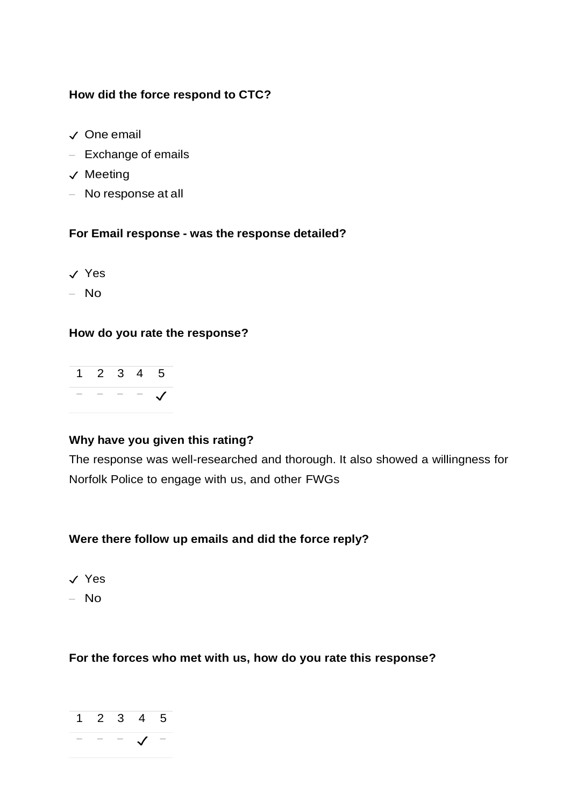# **How did the force respond to CTC?**

- ✓ One email
- Exchange of emails
- ✓ Meeting
- No response at all

#### **For Email response - was the response detailed?**

- ✓ Yes
- No

#### **How do you rate the response?**

| 1 2 3 4 5 |  |  |
|-----------|--|--|
|           |  |  |

# **Why have you given this rating?**

The response was well-researched and thorough. It also showed a willingness for Norfolk Police to engage with us, and other FWGs

# **Were there follow up emails and did the force reply?**

- ✓ Yes
- No

#### **For the forces who met with us, how do you rate this response?**

# 1 2 3 4 5 − − − ✓ −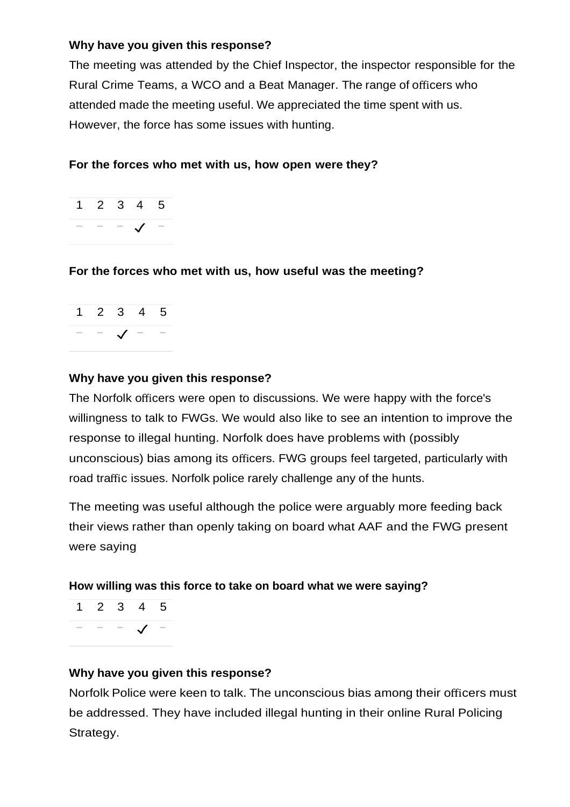# **Why have you given this response?**

The meeting was attended by the Chief Inspector, the inspector responsible for the Rural Crime Teams, a WCO and a Beat Manager. The range of officers who attended made the meeting useful. We appreciated the time spent with us. However, the force has some issues with hunting.

# **For the forces who met with us, how open were they?**

1 2 3 4 5 − − − ✓ −

# **For the forces who met with us, how useful was the meeting?**

|  | 2 3 4 5 |                  |  |
|--|---------|------------------|--|
|  |         | $\hspace{0.1mm}$ |  |

# **Why have you given this response?**

The Norfolk officers were open to discussions. We were happy with the force's willingness to talk to FWGs. We would also like to see an intention to improve the response to illegal hunting. Norfolk does have problems with (possibly unconscious) bias among its officers. FWG groups feel targeted, particularly with road traffic issues. Norfolk police rarely challenge any of the hunts.

The meeting was useful although the police were arguably more feeding back their views rather than openly taking on board what AAF and the FWG present were saying

# **How willing was this force to take on board what we were saying?**

1 2 3 4 5 − − − ✓ −

# **Why have you given this response?**

Norfolk Police were keen to talk. The unconscious bias among their officers must be addressed. They have included illegal hunting in their online Rural Policing Strategy.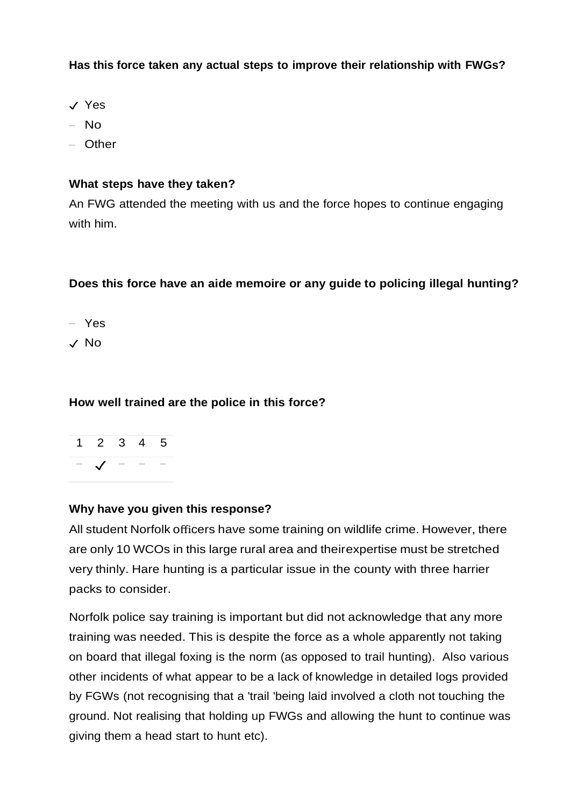**Has this force taken any actual steps to improve their relationship with FWGs?**

- ✓ Yes
- No
- Other

#### **What steps have they taken?**

An FWG attended the meeting with us and the force hopes to continue engaging with him.

# **Does this force have an aide memoire or any guide to policing illegal hunting?**

- Yes
- ✓ No

#### **How well trained are the police in this force?**

|  | 2 3 4 5 |  |
|--|---------|--|
|  |         |  |

# **Why have you given this response?**

All student Norfolk officers have some training on wildlife crime. However, there are only 10 WCOs in this large rural area and theirexpertise must be stretched very thinly. Hare hunting is a particular issue in the county with three harrier packs to consider.

Norfolk police say training is important but did not acknowledge that any more training was needed. This is despite the force as a whole apparently not taking on board that illegal foxing is the norm (as opposed to trail hunting). Also various other incidents of what appear to be a lack of knowledge in detailed logs provided by FGWs (not recognising that a 'trail 'being laid involved a cloth not touching the ground. Not realising that holding up FWGs and allowing the hunt to continue was giving them a head start to hunt etc).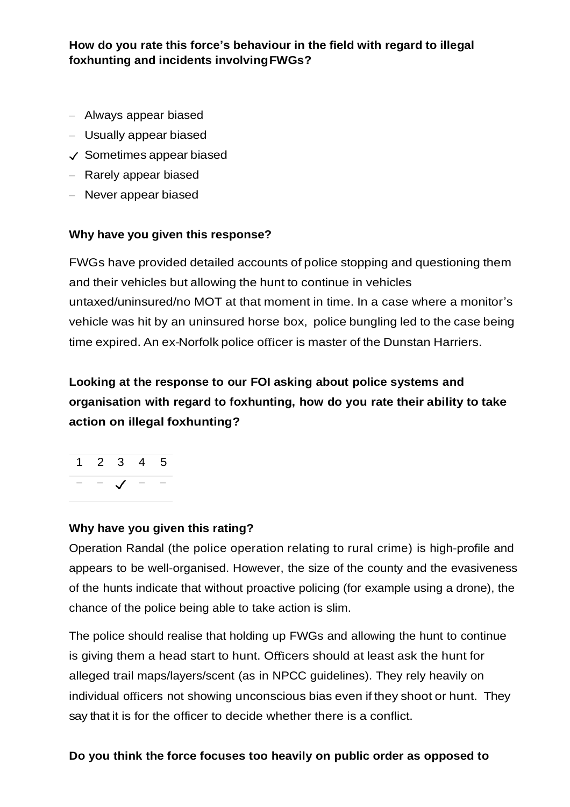# **How do you rate this force's behaviour in the field with regard to illegal foxhunting and incidents involvingFWGs?**

- Always appear biased
- Usually appear biased
- ✓ Sometimes appear biased
- Rarely appear biased
- Never appear biased

#### **Why have you given this response?**

FWGs have provided detailed accounts of police stopping and questioning them and their vehicles but allowing the hunt to continue in vehicles untaxed/uninsured/no MOT at that moment in time. In a case where a monitor's vehicle was hit by an uninsured horse box, police bungling led to the case being time expired. An ex-Norfolk police officer is master of the Dunstan Harriers.

**Looking at the response to our FOI asking about police systems and organisation with regard to foxhunting, how do you rate their ability to take action on illegal foxhunting?**

1 2 3 4 5 − − ✓ − −

#### **Why have you given this rating?**

Operation Randal (the police operation relating to rural crime) is high-profile and appears to be well-organised. However, the size of the county and the evasiveness of the hunts indicate that without proactive policing (for example using a drone), the chance of the police being able to take action is slim.

The police should realise that holding up FWGs and allowing the hunt to continue is giving them a head start to hunt. Officers should at least ask the hunt for alleged trail maps/layers/scent (as in NPCC guidelines). They rely heavily on individual officers not showing unconscious bias even if they shoot or hunt. They say that it is for the officer to decide whether there is a conflict.

#### **Do you think the force focuses too heavily on public order as opposed to**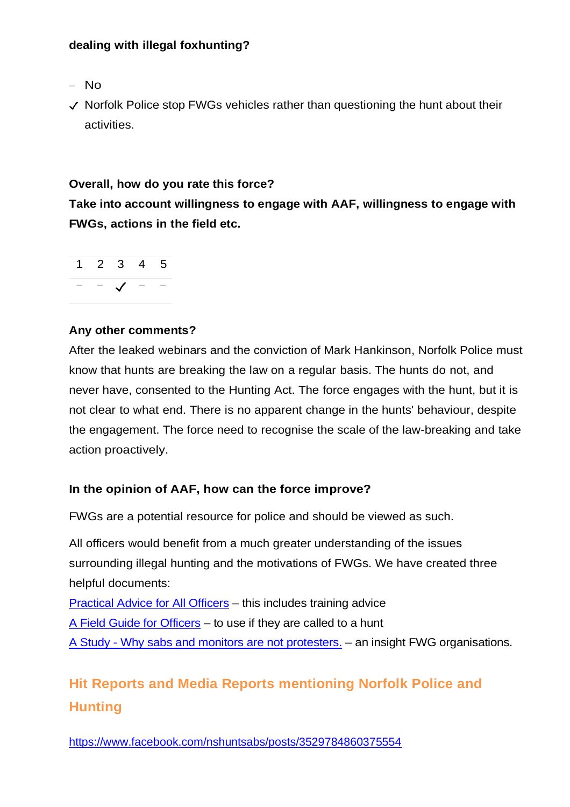# **dealing with illegal foxhunting?**

- No
- ✓ Norfolk Police stop FWGs vehicles rather than questioning the hunt about their activities.

#### **Overall, how do you rate this force?**

**Take into account willingness to engage with AAF, willingness to engage with FWGs, actions in the field etc.**

|  | 1 2 3 4 5       |  |
|--|-----------------|--|
|  | $\mathcal{L}$ - |  |

#### **Any other comments?**

After the leaked webinars and the conviction of Mark Hankinson, Norfolk Police must know that hunts are breaking the law on a regular basis. The hunts do not, and never have, consented to the Hunting Act. The force engages with the hunt, but it is not clear to what end. There is no apparent change in the hunts' behaviour, despite the engagement. The force need to recognise the scale of the law-breaking and take action proactively.

#### **In the opinion of AAF, how can the force improve?**

FWGs are a potential resource for police and should be viewed as such.

All officers would benefit from a much greater understanding of the issues surrounding illegal hunting and the motivations of FWGs. We have created three helpful documents:

[Practical Advice for All Officers](https://www.actionagainstfoxhunting.org/wp-content/uploads/2021/11/B-1411-Practical-Advice-for-all-Police-Forces.pdf) – this includes training advice [A Field Guide for Officers](https://www.actionagainstfoxhunting.org/wp-content/uploads/2021/11/A-1411-FIELD-GUIDE-ILLEGAL-FOXHUNTING.pdf) – to use if they are called to a hunt A Study - [Why sabs and monitors are not protesters.](https://www.actionagainstfoxhunting.org/wp-content/uploads/2021/11/A-1411-Why-sabs-and-monitors-arent-protesters.pdf) – an insight FWG organisations.

# **Hit Reports and Media Reports mentioning Norfolk Police and Hunting**

<https://www.facebook.com/nshuntsabs/posts/3529784860375554>